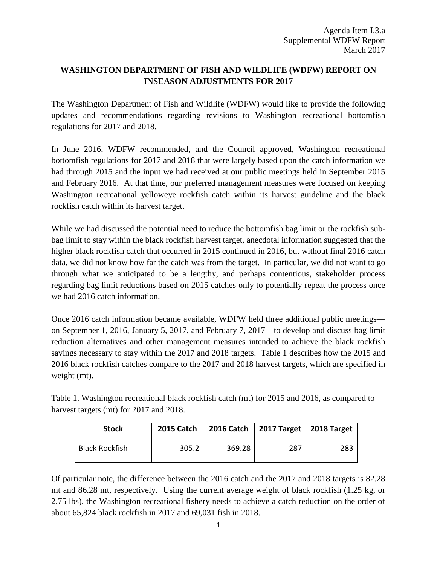## **WASHINGTON DEPARTMENT OF FISH AND WILDLIFE (WDFW) REPORT ON INSEASON ADJUSTMENTS FOR 2017**

The Washington Department of Fish and Wildlife (WDFW) would like to provide the following updates and recommendations regarding revisions to Washington recreational bottomfish regulations for 2017 and 2018.

In June 2016, WDFW recommended, and the Council approved, Washington recreational bottomfish regulations for 2017 and 2018 that were largely based upon the catch information we had through 2015 and the input we had received at our public meetings held in September 2015 and February 2016. At that time, our preferred management measures were focused on keeping Washington recreational yelloweye rockfish catch within its harvest guideline and the black rockfish catch within its harvest target.

While we had discussed the potential need to reduce the bottomfish bag limit or the rockfish subbag limit to stay within the black rockfish harvest target, anecdotal information suggested that the higher black rockfish catch that occurred in 2015 continued in 2016, but without final 2016 catch data, we did not know how far the catch was from the target. In particular, we did not want to go through what we anticipated to be a lengthy, and perhaps contentious, stakeholder process regarding bag limit reductions based on 2015 catches only to potentially repeat the process once we had 2016 catch information.

Once 2016 catch information became available, WDFW held three additional public meetings on September 1, 2016, January 5, 2017, and February 7, 2017—to develop and discuss bag limit reduction alternatives and other management measures intended to achieve the black rockfish savings necessary to stay within the 2017 and 2018 targets. Table 1 describes how the 2015 and 2016 black rockfish catches compare to the 2017 and 2018 harvest targets, which are specified in weight (mt).

Table 1. Washington recreational black rockfish catch (mt) for 2015 and 2016, as compared to harvest targets (mt) for 2017 and 2018.

| <b>Stock</b>          | <b>2015 Catch</b> | <b>2016 Catch</b> | 2017 Target   2018 Target |     |
|-----------------------|-------------------|-------------------|---------------------------|-----|
| <b>Black Rockfish</b> | 305.2             | 369.28            | 287                       | 283 |

Of particular note, the difference between the 2016 catch and the 2017 and 2018 targets is 82.28 mt and 86.28 mt, respectively. Using the current average weight of black rockfish (1.25 kg, or 2.75 lbs), the Washington recreational fishery needs to achieve a catch reduction on the order of about 65,824 black rockfish in 2017 and 69,031 fish in 2018.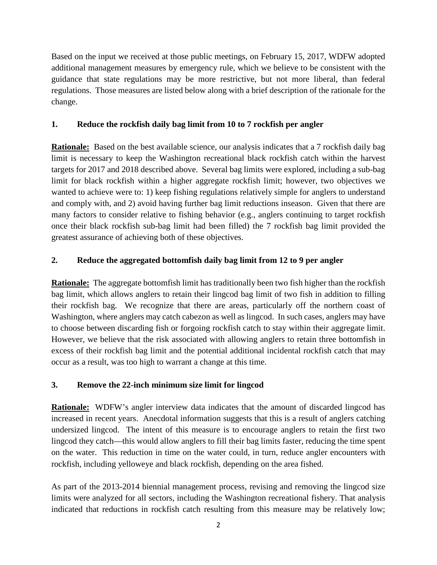Based on the input we received at those public meetings, on February 15, 2017, WDFW adopted additional management measures by emergency rule, which we believe to be consistent with the guidance that state regulations may be more restrictive, but not more liberal, than federal regulations. Those measures are listed below along with a brief description of the rationale for the change.

## **1. Reduce the rockfish daily bag limit from 10 to 7 rockfish per angler**

**Rationale:** Based on the best available science, our analysis indicates that a 7 rockfish daily bag limit is necessary to keep the Washington recreational black rockfish catch within the harvest targets for 2017 and 2018 described above. Several bag limits were explored, including a sub-bag limit for black rockfish within a higher aggregate rockfish limit; however, two objectives we wanted to achieve were to: 1) keep fishing regulations relatively simple for anglers to understand and comply with, and 2) avoid having further bag limit reductions inseason. Given that there are many factors to consider relative to fishing behavior (e.g., anglers continuing to target rockfish once their black rockfish sub-bag limit had been filled) the 7 rockfish bag limit provided the greatest assurance of achieving both of these objectives.

## **2. Reduce the aggregated bottomfish daily bag limit from 12 to 9 per angler**

**Rationale:** The aggregate bottomfish limit has traditionally been two fish higher than the rockfish bag limit, which allows anglers to retain their lingcod bag limit of two fish in addition to filling their rockfish bag. We recognize that there are areas, particularly off the northern coast of Washington, where anglers may catch cabezon as well as lingcod. In such cases, anglers may have to choose between discarding fish or forgoing rockfish catch to stay within their aggregate limit. However, we believe that the risk associated with allowing anglers to retain three bottomfish in excess of their rockfish bag limit and the potential additional incidental rockfish catch that may occur as a result, was too high to warrant a change at this time.

## **3. Remove the 22-inch minimum size limit for lingcod**

**Rationale:** WDFW's angler interview data indicates that the amount of discarded lingcod has increased in recent years. Anecdotal information suggests that this is a result of anglers catching undersized lingcod. The intent of this measure is to encourage anglers to retain the first two lingcod they catch—this would allow anglers to fill their bag limits faster, reducing the time spent on the water. This reduction in time on the water could, in turn, reduce angler encounters with rockfish, including yelloweye and black rockfish, depending on the area fished.

As part of the 2013-2014 biennial management process, revising and removing the lingcod size limits were analyzed for all sectors, including the Washington recreational fishery. That analysis indicated that reductions in rockfish catch resulting from this measure may be relatively low;